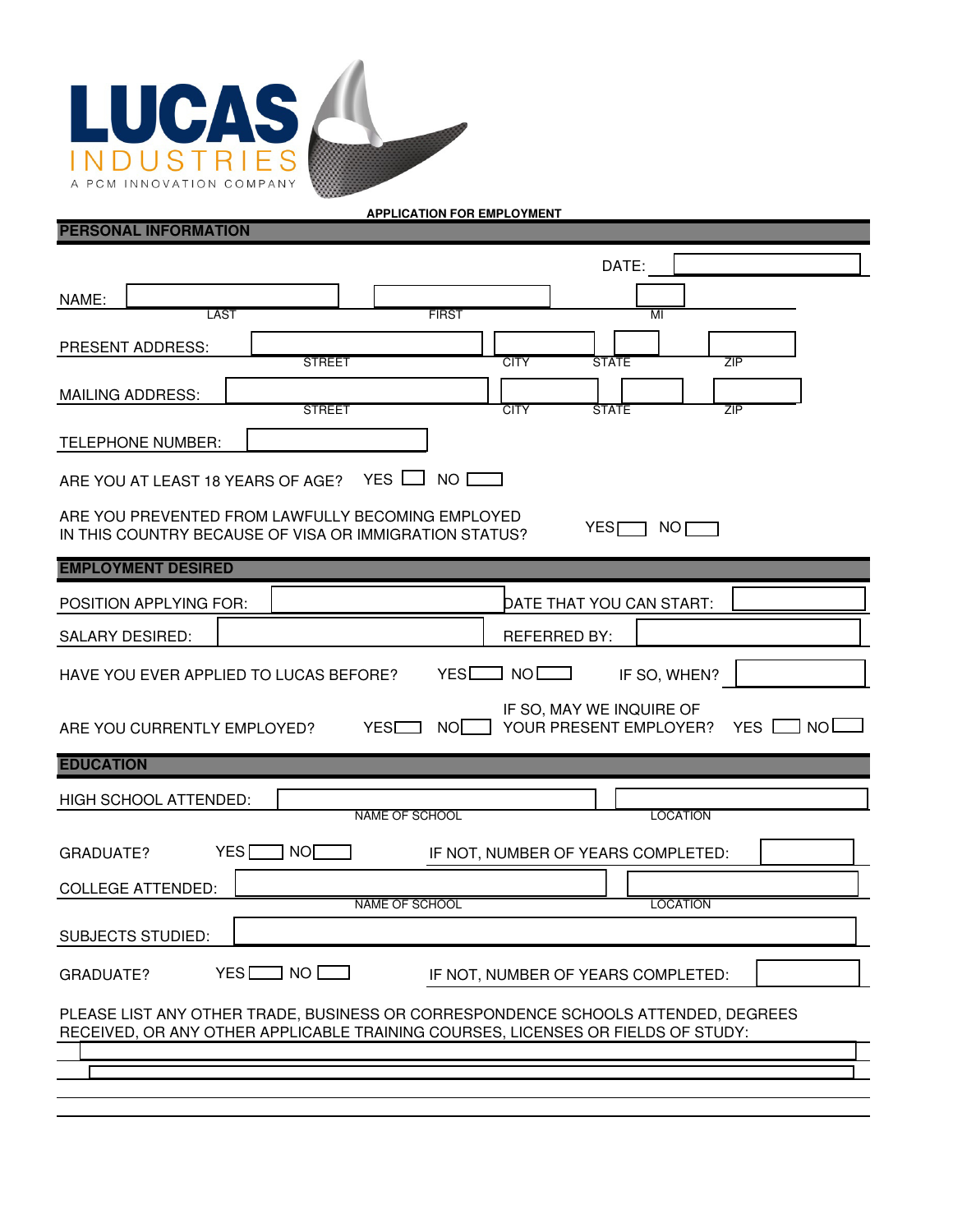

## **PERSONAL INFORMATION**

**APPLICATION FOR EMPLOYMENT**

| DATE:                                                                                                                                                                 |  |  |  |  |  |
|-----------------------------------------------------------------------------------------------------------------------------------------------------------------------|--|--|--|--|--|
| NAME:                                                                                                                                                                 |  |  |  |  |  |
| <b>LAST</b><br><b>FIRST</b><br>MI                                                                                                                                     |  |  |  |  |  |
| <b>PRESENT ADDRESS:</b><br><b>CITY</b><br><b>ZIP</b><br><b>STREET</b><br><b>STATE</b>                                                                                 |  |  |  |  |  |
| <b>MAILING ADDRESS:</b><br><b>STREET</b><br><b>CITY</b><br><b>ZIP</b><br><b>STATE</b>                                                                                 |  |  |  |  |  |
| <b>TELEPHONE NUMBER:</b>                                                                                                                                              |  |  |  |  |  |
| ARE YOU AT LEAST 18 YEARS OF AGE? YES NO                                                                                                                              |  |  |  |  |  |
| ARE YOU PREVENTED FROM LAWFULLY BECOMING EMPLOYED<br>YES <sub>I</sub><br>NO<br>IN THIS COUNTRY BECAUSE OF VISA OR IMMIGRATION STATUS?                                 |  |  |  |  |  |
| <b>EMPLOYMENT DESIRED</b>                                                                                                                                             |  |  |  |  |  |
| POSITION APPLYING FOR:<br>DATE THAT YOU CAN START:                                                                                                                    |  |  |  |  |  |
| <b>REFERRED BY:</b><br>SALARY DESIRED:                                                                                                                                |  |  |  |  |  |
| YES<br>NO L<br>HAVE YOU EVER APPLIED TO LUCAS BEFORE?<br>IF SO, WHEN?                                                                                                 |  |  |  |  |  |
| IF SO, MAY WE INQUIRE OF<br>YOUR PRESENT EMPLOYER?<br><b>NOL</b><br><b>YESD</b><br>NOI.<br>YES  <br>ARE YOU CURRENTLY EMPLOYED?                                       |  |  |  |  |  |
| <b>EDUCATION</b>                                                                                                                                                      |  |  |  |  |  |
| HIGH SCHOOL ATTENDED:                                                                                                                                                 |  |  |  |  |  |
| <b>NAME OF SCHOOL</b><br><b>LOCATION</b>                                                                                                                              |  |  |  |  |  |
| YES <sup>[</sup><br>  NO[<br>IF NOT, NUMBER OF YEARS COMPLETED:<br>GRADUATE?                                                                                          |  |  |  |  |  |
| <b>COLLEGE ATTENDED:</b>                                                                                                                                              |  |  |  |  |  |
| <b>LOCATION</b><br>NAME OF SCHOOL                                                                                                                                     |  |  |  |  |  |
| SUBJECTS STUDIED:                                                                                                                                                     |  |  |  |  |  |
| $YES$ NO $\Box$<br>GRADUATE?<br>IF NOT, NUMBER OF YEARS COMPLETED:                                                                                                    |  |  |  |  |  |
| PLEASE LIST ANY OTHER TRADE, BUSINESS OR CORRESPONDENCE SCHOOLS ATTENDED, DEGREES<br>RECEIVED, OR ANY OTHER APPLICABLE TRAINING COURSES, LICENSES OR FIELDS OF STUDY: |  |  |  |  |  |
|                                                                                                                                                                       |  |  |  |  |  |
|                                                                                                                                                                       |  |  |  |  |  |